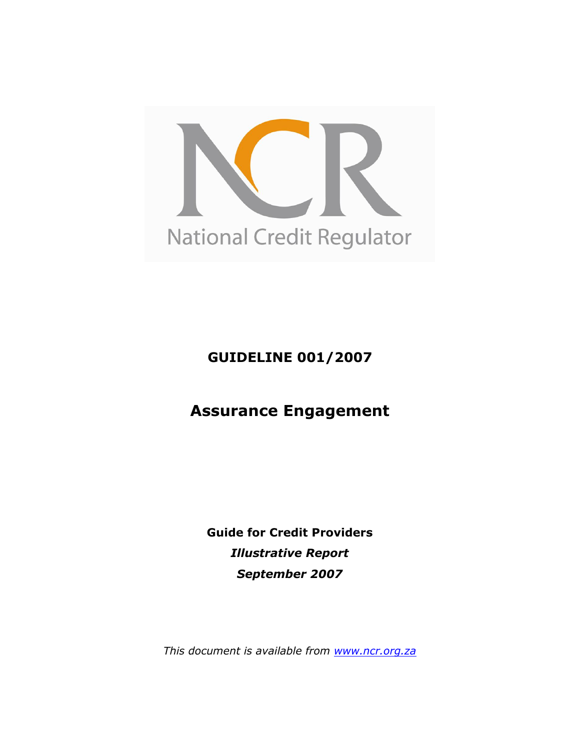

**GUIDELINE 001/2007**

# **Assurance Engagement**

**Guide for Credit Providers** *Illustrative Report September 2007*

*This document is available from [www.ncr.org.za](http://www.ncr.org.za/)*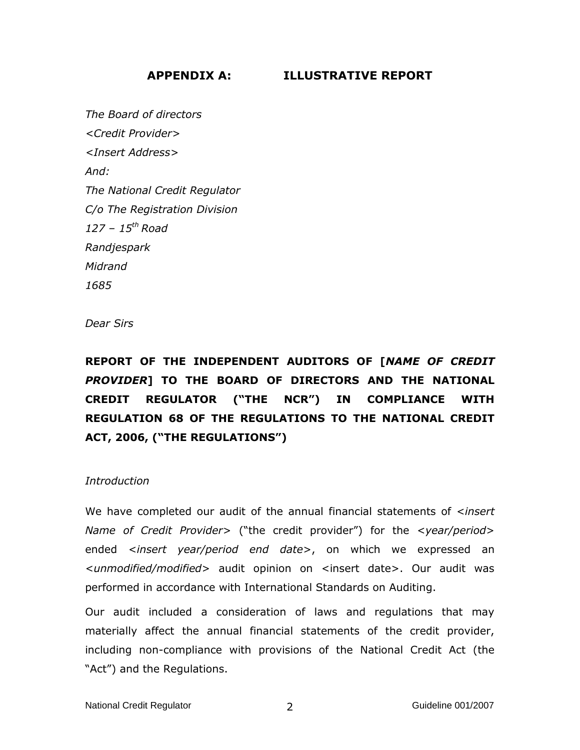### **APPENDIX A: ILLUSTRATIVE REPORT**

*The Board of directors <Credit Provider> <Insert Address> And: The National Credit Regulator C/o The Registration Division 127 – 15th Road Randjespark Midrand 1685*

*Dear Sirs*

## **REPORT OF THE INDEPENDENT AUDITORS OF [***NAME OF CREDIT PROVIDER***] TO THE BOARD OF DIRECTORS AND THE NATIONAL CREDIT REGULATOR ("THE NCR") IN COMPLIANCE WITH REGULATION 68 OF THE REGULATIONS TO THE NATIONAL CREDIT ACT, 2006, ("THE REGULATIONS")**

#### *Introduction*

We have completed our audit of the annual financial statements of <*insert Name of Credit Provider*> ("the credit provider") for the <*year/period*> ended <*insert year/period end date*>, on which we expressed an <*unmodified/modified*> audit opinion on <insert date>. Our audit was performed in accordance with International Standards on Auditing.

Our audit included a consideration of laws and regulations that may materially affect the annual financial statements of the credit provider, including non-compliance with provisions of the National Credit Act (the "Act") and the Regulations.